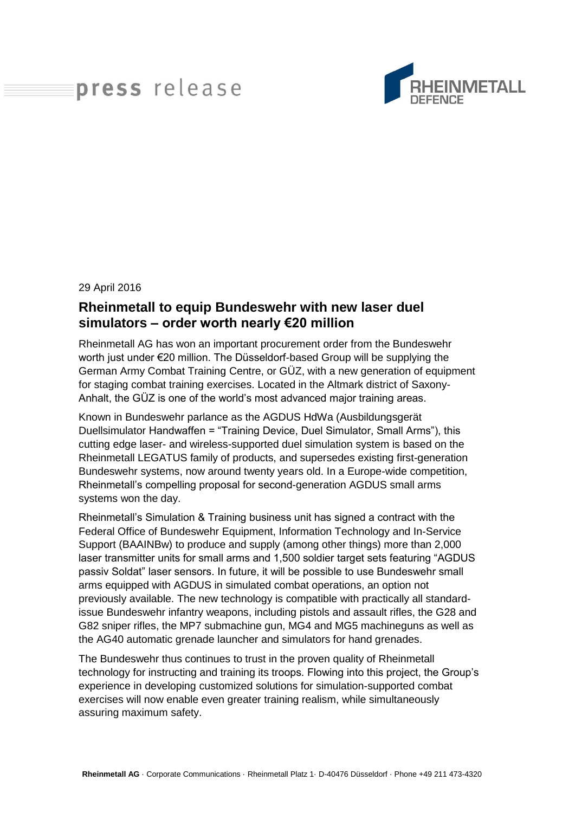## press release



## 29 April 2016

## **Rheinmetall to equip Bundeswehr with new laser duel simulators – order worth nearly €20 million**

Rheinmetall AG has won an important procurement order from the Bundeswehr worth just under €20 million. The Düsseldorf-based Group will be supplying the German Army Combat Training Centre, or GÜZ, with a new generation of equipment for staging combat training exercises. Located in the Altmark district of Saxony-Anhalt, the GÜZ is one of the world's most advanced major training areas.

Known in Bundeswehr parlance as the AGDUS HdWa (Ausbildungsgerät Duellsimulator Handwaffen = "Training Device, Duel Simulator, Small Arms"), this cutting edge laser- and wireless-supported duel simulation system is based on the Rheinmetall LEGATUS family of products, and supersedes existing first-generation Bundeswehr systems, now around twenty years old. In a Europe-wide competition, Rheinmetall's compelling proposal for second-generation AGDUS small arms systems won the day.

Rheinmetall's Simulation & Training business unit has signed a contract with the Federal Office of Bundeswehr Equipment, Information Technology and In-Service Support (BAAINBw) to produce and supply (among other things) more than 2,000 laser transmitter units for small arms and 1,500 soldier target sets featuring "AGDUS passiv Soldat" laser sensors. In future, it will be possible to use Bundeswehr small arms equipped with AGDUS in simulated combat operations, an option not previously available. The new technology is compatible with practically all standardissue Bundeswehr infantry weapons, including pistols and assault rifles, the G28 and G82 sniper rifles, the MP7 submachine gun, MG4 and MG5 machineguns as well as the AG40 automatic grenade launcher and simulators for hand grenades.

The Bundeswehr thus continues to trust in the proven quality of Rheinmetall technology for instructing and training its troops. Flowing into this project, the Group's experience in developing customized solutions for simulation-supported combat exercises will now enable even greater training realism, while simultaneously assuring maximum safety.